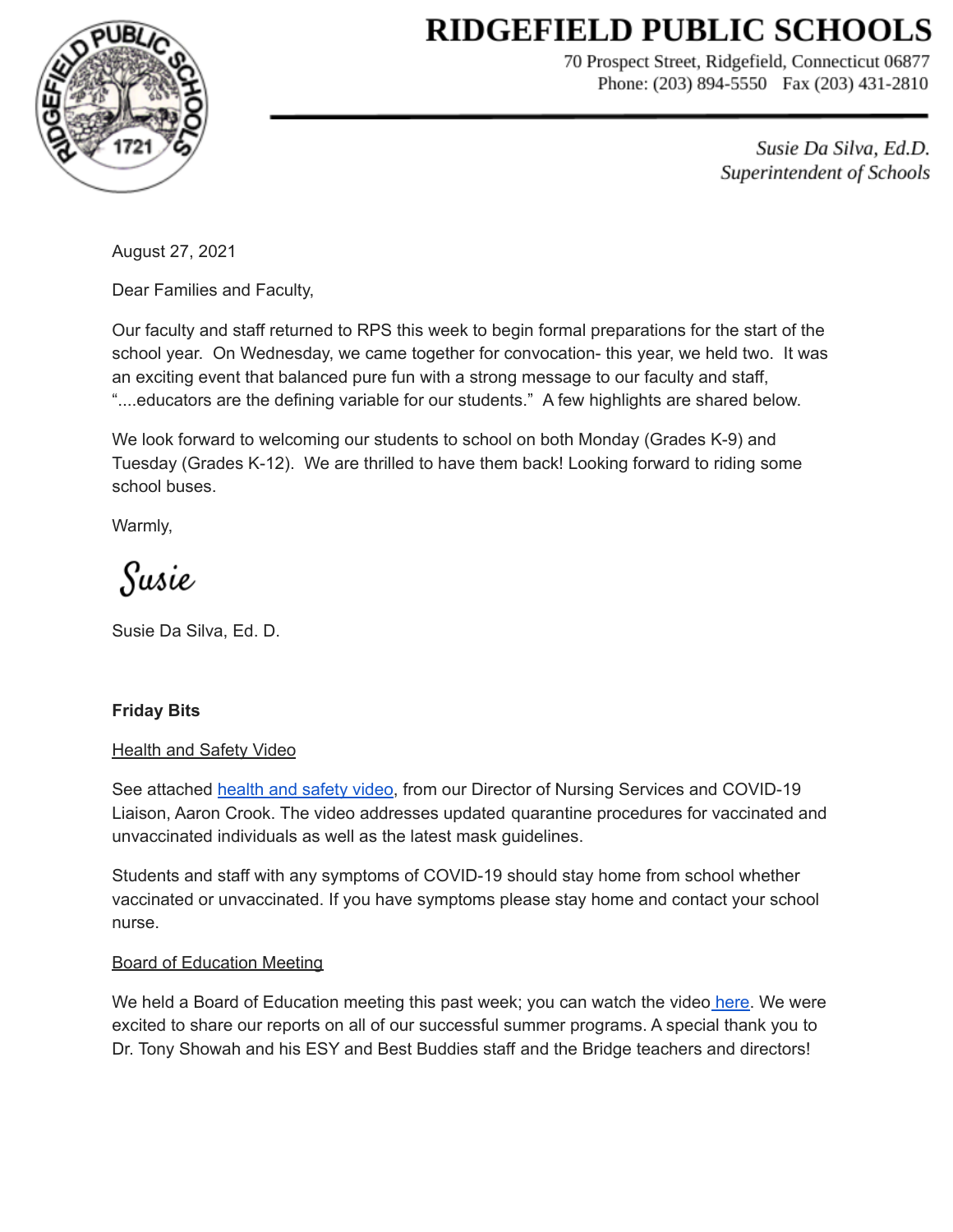# **RIDGEFIELD PUBLIC SCHOOLS**



70 Prospect Street, Ridgefield, Connecticut 06877 Phone: (203) 894-5550 Fax (203) 431-2810

> Susie Da Silva, Ed.D. Superintendent of Schools

August 27, 2021

Dear Families and Faculty,

Our faculty and staff returned to RPS this week to begin formal preparations for the start of the school year. On Wednesday, we came together for convocation- this year, we held two. It was an exciting event that balanced pure fun with a strong message to our faculty and staff, "....educators are the defining variable for our students." A few highlights are shared below.

We look forward to welcoming our students to school on both Monday (Grades K-9) and Tuesday (Grades K-12). We are thrilled to have them back! Looking forward to riding some school buses.

Warmly,

Susie

Susie Da Silva, Ed. D.

## **Friday Bits**

## **Health and Safety Video**

See attached [health](https://www.loom.com/share/4356352921ff403da1131b57b37fbaad) and safety video, from our Director of Nursing Services and COVID-19 Liaison, Aaron Crook. The video addresses updated quarantine procedures for vaccinated and unvaccinated individuals as well as the latest mask guidelines.

Students and staff with any symptoms of COVID-19 should stay home from school whether vaccinated or unvaccinated. If you have symptoms please stay home and contact your school nurse.

## Board of Education Meeting

We held a Board of Education meeting this past week; you can watch the video [here.](https://youtu.be/uQ97_oYcQoA) We were excited to share our reports on all of our successful summer programs. A special thank you to Dr. Tony Showah and his ESY and Best Buddies staff and the Bridge teachers and directors!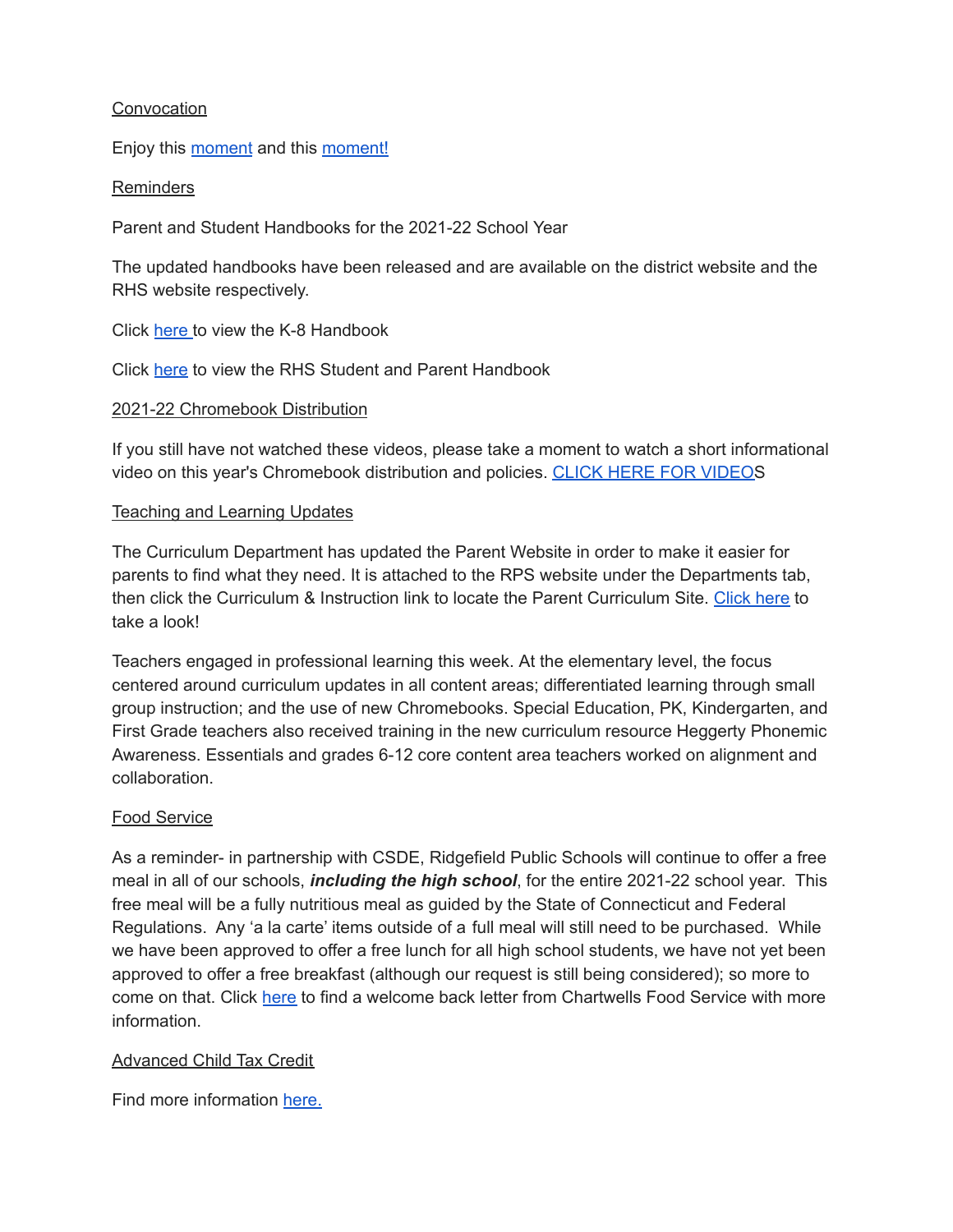## **Convocation**

Enjoy this [moment](https://drive.google.com/file/d/1suiJv9ZnMAVaBprWyBJdJzjTL-9tETjR/view?usp=sharing_eil_m&ts=61292fbe) and this [moment!](https://drive.google.com/file/d/1wOox7NkUEuk6-Gfh4RT62YqISnaXfrPS/view?usp=sharing_eil_m&ts=6124e89e)

#### **Reminders**

Parent and Student Handbooks for the 2021-22 School Year

The updated handbooks have been released and are available on the district website and the RHS website respectively.

Click [here](https://drive.google.com/file/d/0BySPy5jxJn6ZcVIwdWlpQkl1djg/view?usp=sharing&resourcekey=0-i9v5PwijDGu8DtlHmFotAA) to view the K-8 Handbook

Click [here](https://tb2cdn.schoolwebmasters.com/accnt_167542/site_171355/Documents/Student-Parent-Handbook.pdf) to view the RHS Student and Parent Handbook

#### 2021-22 Chromebook Distribution

If you still have not watched these videos, please take a moment to watch a short informational video on this year's Chromebook distribution and policies. CLICK HERE FOR [VIDEOS](https://sites.google.com/ridgefieldps.net/rpstech/chromebooks)

#### Teaching and Learning Updates

The Curriculum Department has updated the Parent Website in order to make it easier for parents to find what they need. It is attached to the RPS website under the Departments tab, then click the Curriculum & Instruction link to locate the Parent Curriculum Site. [Click](https://sites.google.com/ridgefieldps.net/ridgefieldpublicschools/home) here to take a look!

Teachers engaged in professional learning this week. At the elementary level, the focus centered around curriculum updates in all content areas; differentiated learning through small group instruction; and the use of new Chromebooks. Special Education, PK, Kindergarten, and First Grade teachers also received training in the new curriculum resource Heggerty Phonemic Awareness. Essentials and grades 6-12 core content area teachers worked on alignment and collaboration.

#### Food Service

As a reminder- in partnership with CSDE, Ridgefield Public Schools will continue to offer a free meal in all of our schools, *including the high school*, for the entire 2021-22 school year. This free meal will be a fully nutritious meal as guided by the State of Connecticut and Federal Regulations. Any 'a la carte' items outside of a full meal will still need to be purchased. While we have been approved to offer a free lunch for all high school students, we have not yet been approved to offer a free breakfast (although our request is still being considered); so more to come on that. Click [here](https://drive.google.com/file/d/1Hp9SqDZ0_fzfuOmDHZaAJciu6XR2fUAx/view?usp=sharing) to find a welcome back letter from Chartwells Food Service with more information.

#### Advanced Child Tax Credit

Find more information [here.](https://drive.google.com/file/d/1jKO6tTFyHwicQtF-Jzf0t59H-7jSuqe9/view?usp=sharing)